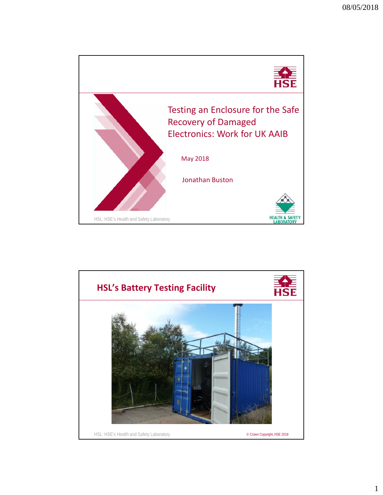

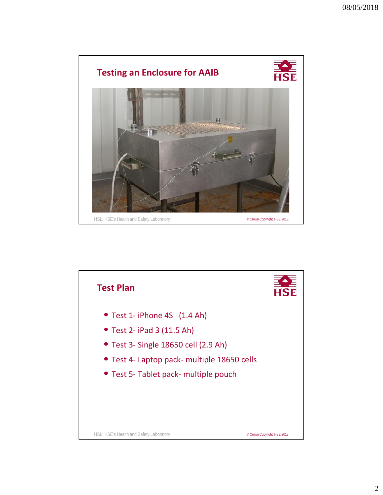

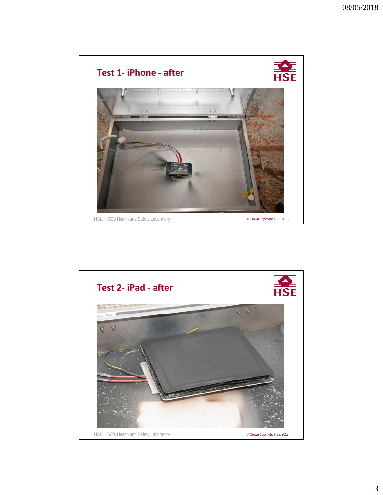

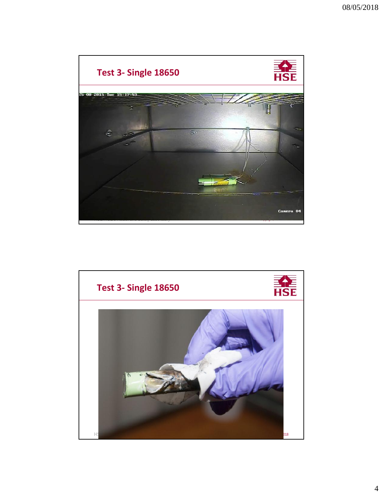

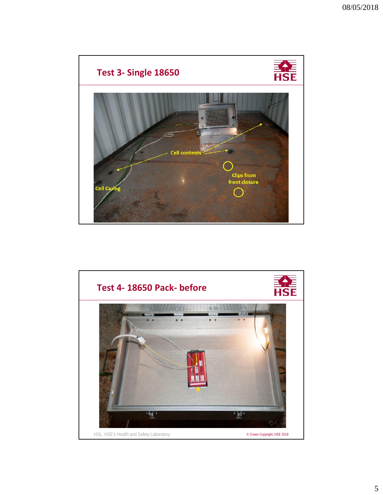

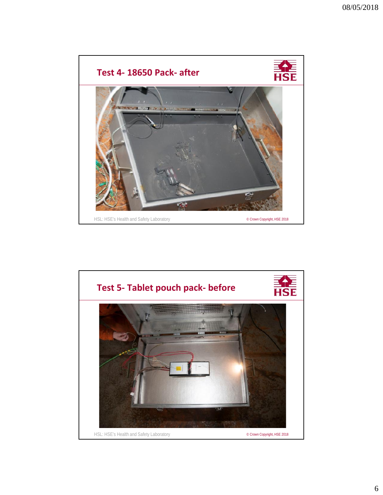

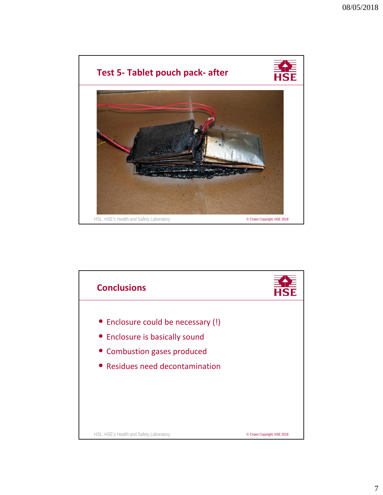